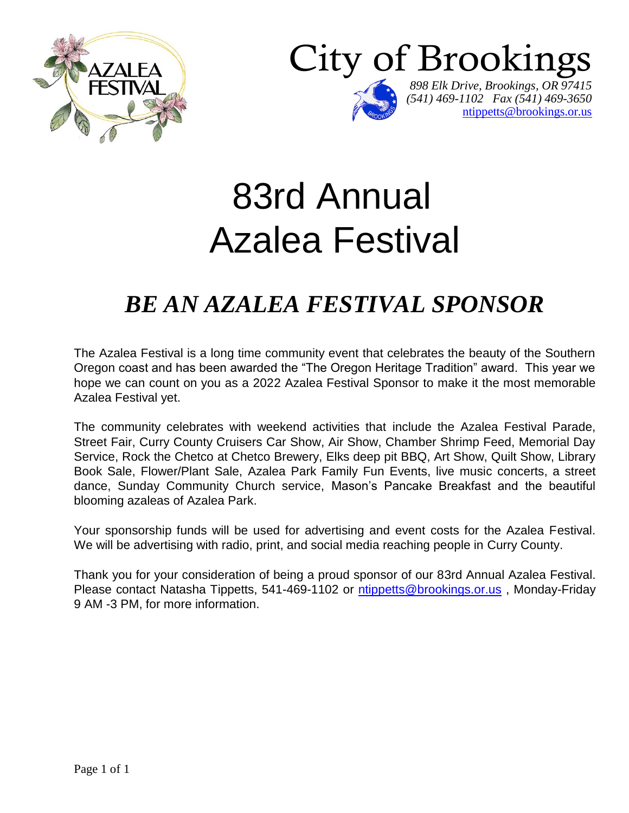



# 83rd Annual Azalea Festival

## *BE AN AZALEA FESTIVAL SPONSOR*

The Azalea Festival is a long time community event that celebrates the beauty of the Southern Oregon coast and has been awarded the "The Oregon Heritage Tradition" award. This year we hope we can count on you as a 2022 Azalea Festival Sponsor to make it the most memorable Azalea Festival yet.

The community celebrates with weekend activities that include the Azalea Festival Parade, Street Fair, Curry County Cruisers Car Show, Air Show, Chamber Shrimp Feed, Memorial Day Service, Rock the Chetco at Chetco Brewery, Elks deep pit BBQ, Art Show, Quilt Show, Library Book Sale, Flower/Plant Sale, Azalea Park Family Fun Events, live music concerts, a street dance, Sunday Community Church service, Mason's Pancake Breakfast and the beautiful blooming azaleas of Azalea Park.

Your sponsorship funds will be used for advertising and event costs for the Azalea Festival. We will be advertising with radio, print, and social media reaching people in Curry County.

Thank you for your consideration of being a proud sponsor of our 83rd Annual Azalea Festival. Please contact Natasha Tippetts, 541-469-1102 or [ntippetts@brookings.or.us](mailto:ntippetts@brookings.or.us) , Monday-Friday 9 AM -3 PM, for more information.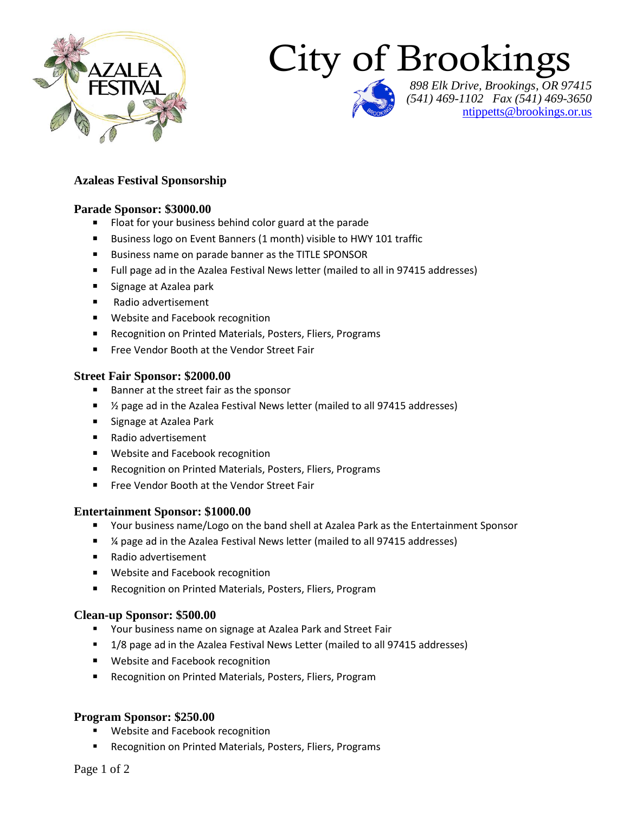

# City of Brookings

*898 Elk Drive, Brookings, OR 97415 (541) 469-1102 Fax (541) 469-3650* ntippetts@brookings.or.us

#### **Azaleas Festival Sponsorship**

#### **Parade Sponsor: \$3000.00**

- Float for your business behind color guard at the parade
- Business logo on Event Banners (1 month) visible to HWY 101 traffic
- **Business name on parade banner as the TITLE SPONSOR**
- **Full page ad in the Azalea Festival News letter (mailed to all in 97415 addresses)**
- Signage at Azalea park
- Radio advertisement
- **Website and Facebook recognition**
- Recognition on Printed Materials, Posters, Fliers, Programs
- **Free Vendor Booth at the Vendor Street Fair**

#### **Street Fair Sponsor: \$2000.00**

- Banner at the street fair as the sponsor
- 1/<sub>2</sub> page ad in the Azalea Festival News letter (mailed to all 97415 addresses)
- **Signage at Azalea Park**
- Radio advertisement
- **Website and Facebook recognition**
- Recognition on Printed Materials, Posters, Fliers, Programs
- **Free Vendor Booth at the Vendor Street Fair**

#### **Entertainment Sponsor: \$1000.00**

- Your business name/Logo on the band shell at Azalea Park as the Entertainment Sponsor
- ¼ page ad in the Azalea Festival News letter (mailed to all 97415 addresses)
- Radio advertisement
- **Website and Facebook recognition**
- Recognition on Printed Materials, Posters, Fliers, Program

#### **Clean-up Sponsor: \$500.00**

- **Theorge 15 Your business name on signage at Azalea Park and Street Fair**
- 1/8 page ad in the Azalea Festival News Letter (mailed to all 97415 addresses)
- **Website and Facebook recognition**
- Recognition on Printed Materials, Posters, Fliers, Program

#### **Program Sponsor: \$250.00**

- Website and Facebook recognition
- Recognition on Printed Materials, Posters, Fliers, Programs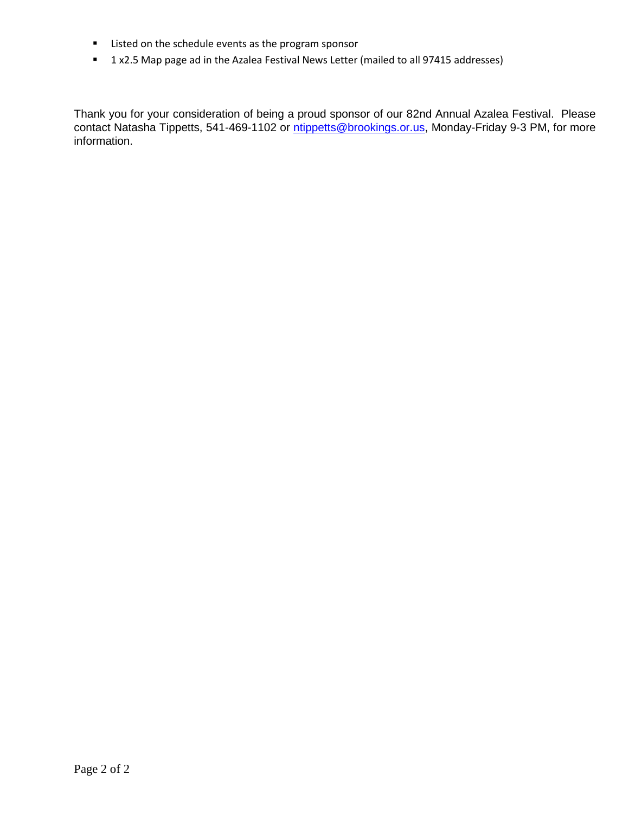- **EXEC** isted on the schedule events as the program sponsor
- **1 x2.5 Map page ad in the Azalea Festival News Letter (mailed to all 97415 addresses)**

Thank you for your consideration of being a proud sponsor of our 82nd Annual Azalea Festival. Please contact Natasha Tippetts, 541-469-1102 or [ntippetts@brookings.or.us,](mailto:ntippetts@brookings.or.us) Monday-Friday 9-3 PM, for more information.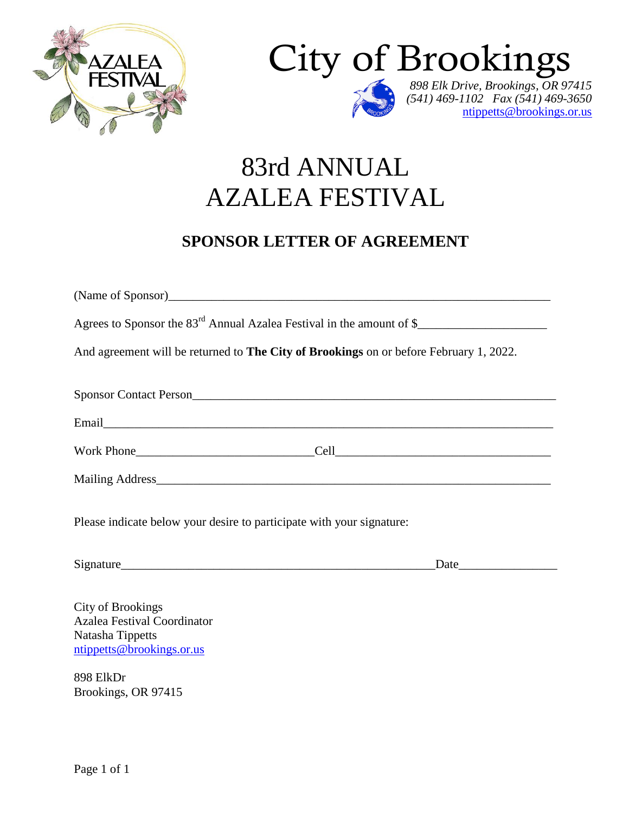



## 83rd ANNUAL AZALEA FESTIVAL

### **SPONSOR LETTER OF AGREEMENT**

| Agrees to Sponsor the 83 <sup>rd</sup> Annual Azalea Festival in the amount of \$                               |                                                                                                                                                                                                                               |
|-----------------------------------------------------------------------------------------------------------------|-------------------------------------------------------------------------------------------------------------------------------------------------------------------------------------------------------------------------------|
| And agreement will be returned to The City of Brookings on or before February 1, 2022.                          |                                                                                                                                                                                                                               |
|                                                                                                                 |                                                                                                                                                                                                                               |
|                                                                                                                 |                                                                                                                                                                                                                               |
|                                                                                                                 |                                                                                                                                                                                                                               |
|                                                                                                                 |                                                                                                                                                                                                                               |
| Please indicate below your desire to participate with your signature:                                           |                                                                                                                                                                                                                               |
| Signature                                                                                                       | Date and the same state of the state of the state of the state of the state of the state of the state of the state of the state of the state of the state of the state of the state of the state of the state of the state of |
| <b>City of Brookings</b><br><b>Azalea Festival Coordinator</b><br>Natasha Tippetts<br>ntippetts@brookings.or.us |                                                                                                                                                                                                                               |

898 ElkDr Brookings, OR 97415